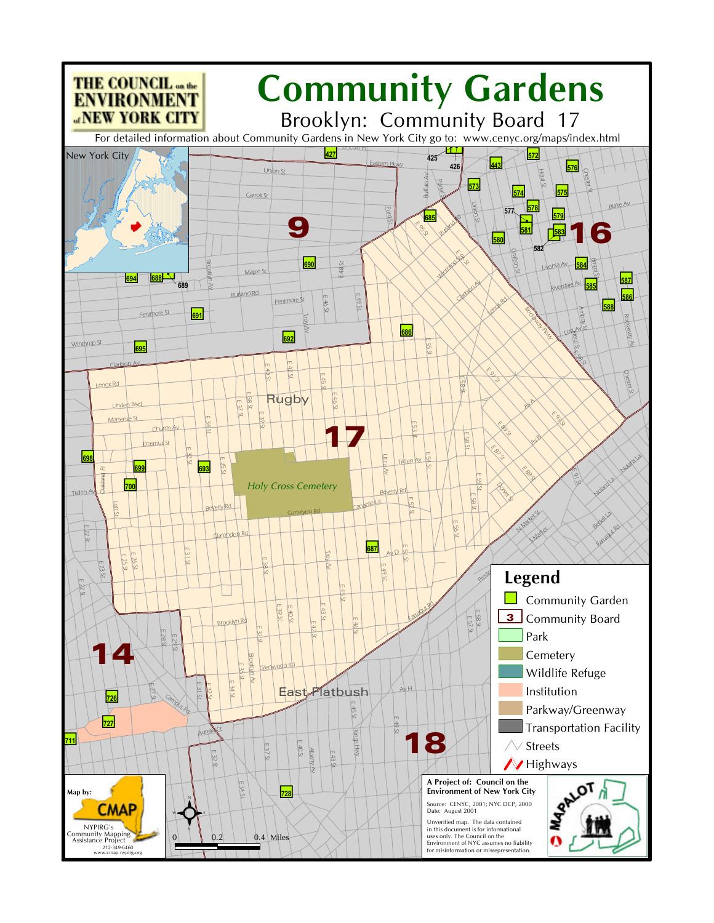